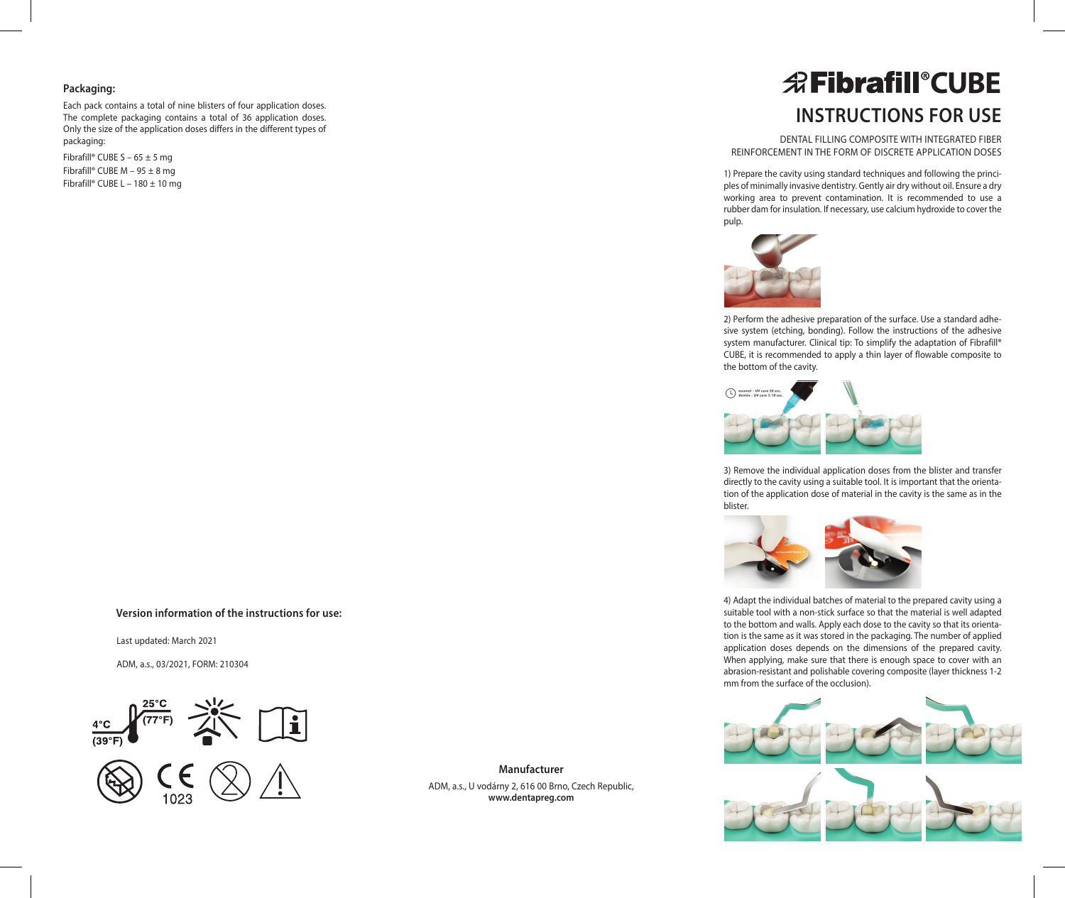# **Packaging:**

Each pack contains a total of nine blisters of four application doses. The complete packaging contains a total of 36 application doses. Only the size of the application doses differs in the different types of packaging:

Fibrafill® CUBE S – 65  $\pm$  5 mg Fibrafill® CUBE M – 95 ± 8 mg Fibrafill® CUBE L – 180 ± 10 mg

# **Version information of the instructions for use:**

Last updated: March 2021

ADM, a.s., 03/2021, FORM: 210304





**Manufacturer** ADM, a.s., U vodárny 2, 616 00 Brno, Czech Republic, **www.dentapreg.com**

# **Instructions for use** *<u>REibrafill®CUBE</u>*

DENTAL FILLING COMPOSITE WITH INTEGRATED FIBER REINFORCEMENT IN THE FORM OF DISCRETE APPLICATION DOSES

1) Prepare the cavity using standard techniques and following the principles of minimally invasive dentistry. Gently air dry without oil. Ensure a dry working area to prevent contamination. It is recommended to use a rubber dam for insulation. If necessary, use calcium hydroxide to cover the pulp.



2) Perform the adhesive preparation of the surface. Use a standard adhesive system (etching, bonding). Follow the instructions of the adhesive system manufacturer. Clinical tip: To simplify the adaptation of Fibrafill® CUBE, it is recommended to apply a thin layer of flowable composite to the bottom of the cavity.



3) Remove the individual application doses from the blister and transfer directly to the cavity using a suitable tool. It is important that the orientation of the application dose of material in the cavity is the same as in the blister.



4) Adapt the individual batches of material to the prepared cavity using a suitable tool with a non-stick surface so that the material is well adapted to the bottom and walls. Apply each dose to the cavity so that its orientation is the same as it was stored in the packaging. The number of applied application doses depends on the dimensions of the prepared cavity. When applying, make sure that there is enough space to cover with an abrasion-resistant and polishable covering composite (layer thickness 1-2 mm from the surface of the occlusion).